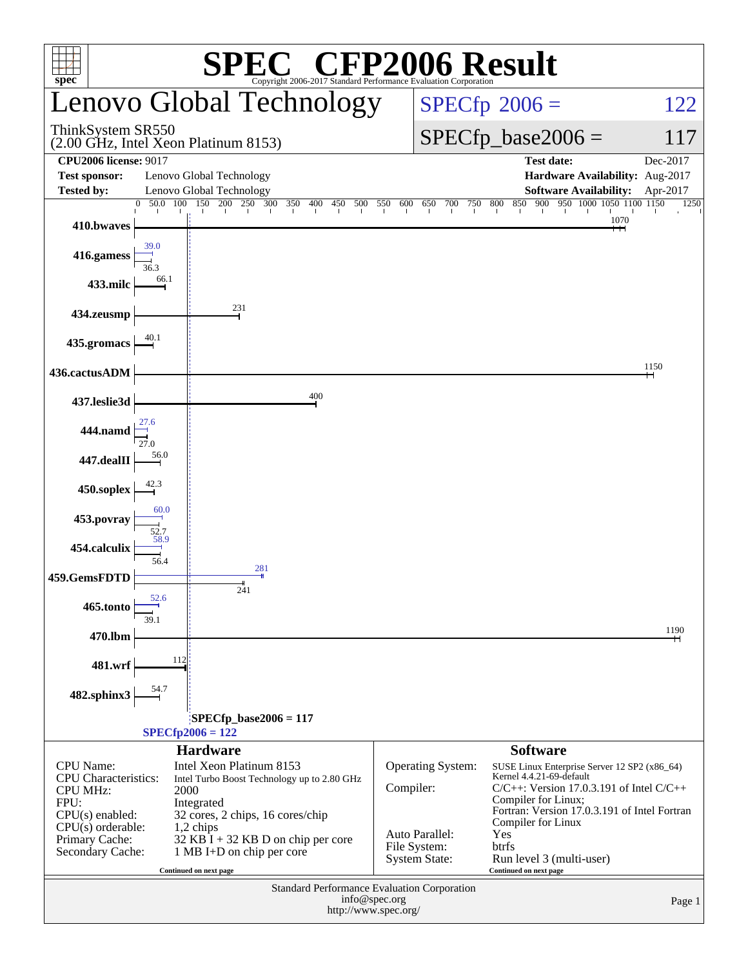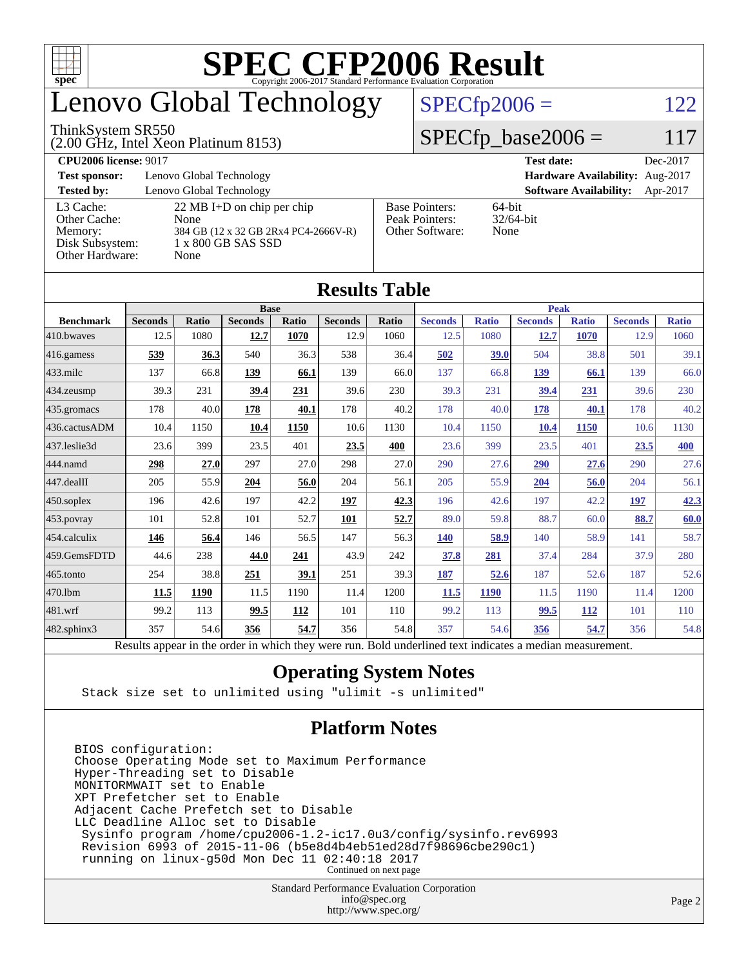

# enovo Global Technology

#### ThinkSystem SR550

(2.00 GHz, Intel Xeon Platinum 8153)

 $SPECfp2006 = 122$  $SPECfp2006 = 122$ 

#### $SPECfp\_base2006 = 117$

| <b>CPU2006 license: 9017</b> |                                      |                                 | <b>Test date:</b><br>Dec-2017             |  |  |  |  |
|------------------------------|--------------------------------------|---------------------------------|-------------------------------------------|--|--|--|--|
| <b>Test sponsor:</b>         | Lenovo Global Technology             | Hardware Availability: Aug-2017 |                                           |  |  |  |  |
| <b>Tested by:</b>            | Lenovo Global Technology             |                                 | <b>Software Availability:</b><br>Apr-2017 |  |  |  |  |
| L3 Cache:                    | 22 MB I+D on chip per chip           | <b>Base Pointers:</b>           | 64-bit                                    |  |  |  |  |
| Other Cache:                 | None                                 | Peak Pointers:                  | $32/64$ -bit                              |  |  |  |  |
| Memory:                      | 384 GB (12 x 32 GB 2Rx4 PC4-2666V-R) | Other Software:                 | None                                      |  |  |  |  |
| Disk Subsystem:              | 1 x 800 GB SAS SSD                   |                                 |                                           |  |  |  |  |
| Other Hardware:              | None                                 |                                 |                                           |  |  |  |  |

|                  | Results Table                                                                                            |              |                |       |                |       |                |              |                |              |                |              |
|------------------|----------------------------------------------------------------------------------------------------------|--------------|----------------|-------|----------------|-------|----------------|--------------|----------------|--------------|----------------|--------------|
|                  | <b>Base</b>                                                                                              |              |                |       |                |       | <b>Peak</b>    |              |                |              |                |              |
| <b>Benchmark</b> | <b>Seconds</b>                                                                                           | <b>Ratio</b> | <b>Seconds</b> | Ratio | <b>Seconds</b> | Ratio | <b>Seconds</b> | <b>Ratio</b> | <b>Seconds</b> | <b>Ratio</b> | <b>Seconds</b> | <b>Ratio</b> |
| 410.bwaves       | 12.5                                                                                                     | 1080         | 12.7           | 1070  | 12.9           | 1060  | 12.5           | 1080         | 12.7           | 1070         | 12.9           | 1060         |
| 416.gamess       | 539                                                                                                      | 36.3         | 540            | 36.3  | 538            | 36.4  | 502            | 39.0         | 504            | 38.8         | 501            | 39.1         |
| $433$ .milc      | 137                                                                                                      | 66.8         | 139            | 66.1  | 139            | 66.0  | 137            | 66.8         | 139            | 66.1         | 139            | 66.0         |
| 434.zeusmp       | 39.3                                                                                                     | 231          | 39.4           | 231   | 39.6           | 230   | 39.3           | 231          | 39.4           | 231          | 39.6           | 230          |
| 435.gromacs      | 178                                                                                                      | 40.0         | 178            | 40.1  | 178            | 40.2  | 178            | 40.0         | 178            | 40.1         | 178            | 40.2         |
| 436.cactusADM    | 10.4                                                                                                     | 1150         | 10.4           | 1150  | 10.6           | 1130  | 10.4           | 1150         | 10.4           | 1150         | 10.6           | 1130         |
| 437.leslie3d     | 23.6                                                                                                     | 399          | 23.5           | 401   | 23.5           | 400   | 23.6           | 399          | 23.5           | 401          | 23.5           | 400          |
| 444.namd         | 298                                                                                                      | 27.0         | 297            | 27.0  | 298            | 27.0  | 290            | 27.6         | 290            | 27.6         | 290            | 27.6         |
| $447$ .dealII    | 205                                                                                                      | 55.9         | 204            | 56.0  | 204            | 56.1  | 205            | 55.9         | 204            | 56.0         | 204            | 56.1         |
| $450$ .soplex    | 196                                                                                                      | 42.6         | 197            | 42.2  | <u>197</u>     | 42.3  | 196            | 42.6         | 197            | 42.2         | 197            | 42.3         |
| 453.povray       | 101                                                                                                      | 52.8         | 101            | 52.7  | 101            | 52.7  | 89.0           | 59.8         | 88.7           | 60.0         | 88.7           | 60.0         |
| 454.calculix     | 146                                                                                                      | 56.4         | 146            | 56.5  | 147            | 56.3  | <b>140</b>     | 58.9         | 140            | 58.9         | 141            | 58.7         |
| 459.GemsFDTD     | 44.6                                                                                                     | 238          | 44.0           | 241   | 43.9           | 242   | 37.8           | 281          | 37.4           | 284          | 37.9           | 280          |
| $465$ .tonto     | 254                                                                                                      | 38.8         | 251            | 39.1  | 251            | 39.3  | 187            | 52.6         | 187            | 52.6         | 187            | 52.6         |
| 470.1bm          | 11.5                                                                                                     | 1190         | 11.5           | 1190  | 11.4           | 1200  | 11.5           | 1190         | 11.5           | 1190         | 11.4           | 1200         |
| 481.wrf          | 99.2                                                                                                     | 113          | 99.5           | 112   | 101            | 110   | 99.2           | 113          | 99.5           | 112          | 101            | 110          |
| 482.sphinx3      | 357                                                                                                      | 54.6         | 356            | 54.7  | 356            | 54.8  | 357            | 54.6         | 356            | 54.7         | 356            | 54.8         |
|                  | Results appear in the order in which they were run. Bold underlined text indicates a median measurement. |              |                |       |                |       |                |              |                |              |                |              |

#### **[Results Table](http://www.spec.org/auto/cpu2006/Docs/result-fields.html#ResultsTable)**

#### **[Operating System Notes](http://www.spec.org/auto/cpu2006/Docs/result-fields.html#OperatingSystemNotes)**

Stack size set to unlimited using "ulimit -s unlimited"

#### **[Platform Notes](http://www.spec.org/auto/cpu2006/Docs/result-fields.html#PlatformNotes)**

BIOS configuration: Choose Operating Mode set to Maximum Performance Hyper-Threading set to Disable MONITORMWAIT set to Enable XPT Prefetcher set to Enable Adjacent Cache Prefetch set to Disable LLC Deadline Alloc set to Disable Sysinfo program /home/cpu2006-1.2-ic17.0u3/config/sysinfo.rev6993 Revision 6993 of 2015-11-06 (b5e8d4b4eb51ed28d7f98696cbe290c1) running on linux-g50d Mon Dec 11 02:40:18 2017 Continued on next page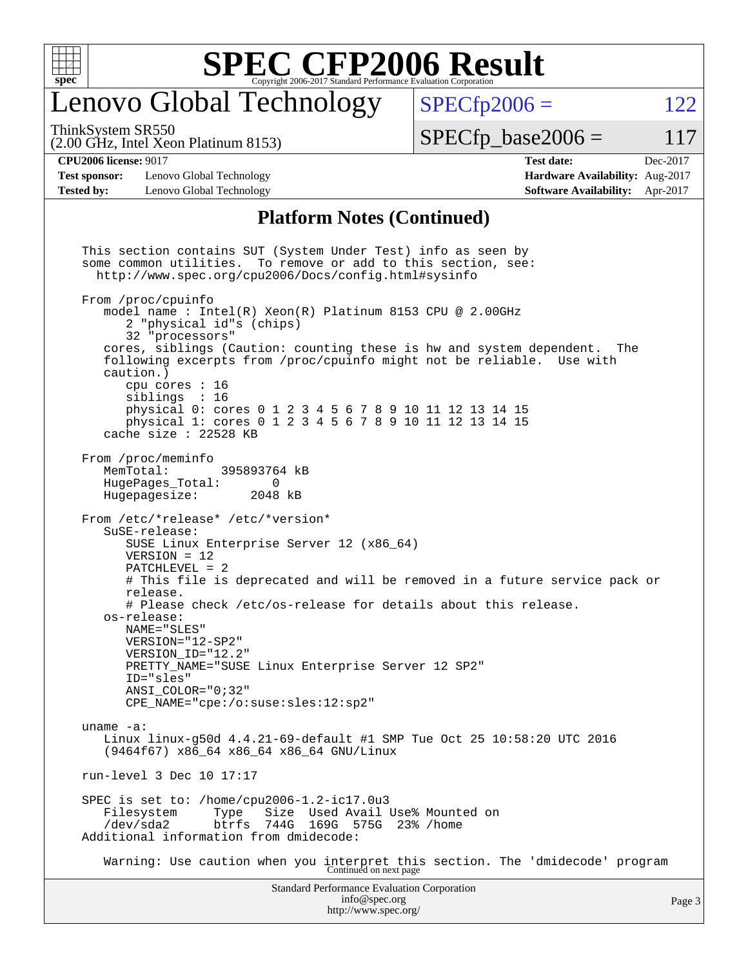

### enovo Global Technology

ThinkSystem SR550

(2.00 GHz, Intel Xeon Platinum 8153)

 $SPECTp2006 = 122$ 

 $SPECTp\_base2006 = 117$ 

#### **[CPU2006 license:](http://www.spec.org/auto/cpu2006/Docs/result-fields.html#CPU2006license)** 9017 **[Test date:](http://www.spec.org/auto/cpu2006/Docs/result-fields.html#Testdate)** Dec-2017

**[Test sponsor:](http://www.spec.org/auto/cpu2006/Docs/result-fields.html#Testsponsor)** Lenovo Global Technology **[Hardware Availability:](http://www.spec.org/auto/cpu2006/Docs/result-fields.html#HardwareAvailability)** Aug-2017 **[Tested by:](http://www.spec.org/auto/cpu2006/Docs/result-fields.html#Testedby)** Lenovo Global Technology **[Software Availability:](http://www.spec.org/auto/cpu2006/Docs/result-fields.html#SoftwareAvailability)** Apr-2017

#### **[Platform Notes \(Continued\)](http://www.spec.org/auto/cpu2006/Docs/result-fields.html#PlatformNotes)**

Standard Performance Evaluation Corporation [info@spec.org](mailto:info@spec.org) This section contains SUT (System Under Test) info as seen by some common utilities. To remove or add to this section, see: <http://www.spec.org/cpu2006/Docs/config.html#sysinfo> From /proc/cpuinfo model name : Intel(R) Xeon(R) Platinum 8153 CPU @ 2.00GHz 2 "physical id"s (chips) 32 "processors" cores, siblings (Caution: counting these is hw and system dependent. The following excerpts from /proc/cpuinfo might not be reliable. Use with caution.) cpu cores : 16 siblings : 16 physical 0: cores 0 1 2 3 4 5 6 7 8 9 10 11 12 13 14 15 physical 1: cores 0 1 2 3 4 5 6 7 8 9 10 11 12 13 14 15 cache size : 22528 KB From /proc/meminfo<br>MemTotal: 395893764 kB HugePages\_Total: 0 Hugepagesize: 2048 kB From /etc/\*release\* /etc/\*version\* SuSE-release: SUSE Linux Enterprise Server 12 (x86\_64) VERSION = 12 PATCHLEVEL = 2 # This file is deprecated and will be removed in a future service pack or release. # Please check /etc/os-release for details about this release. os-release: NAME="SLES" VERSION="12-SP2" VERSION\_ID="12.2" PRETTY\_NAME="SUSE Linux Enterprise Server 12 SP2" ID="sles" ANSI\_COLOR="0;32" CPE\_NAME="cpe:/o:suse:sles:12:sp2" uname -a: Linux linux-g50d 4.4.21-69-default #1 SMP Tue Oct 25 10:58:20 UTC 2016 (9464f67) x86\_64 x86\_64 x86\_64 GNU/Linux run-level 3 Dec 10 17:17 SPEC is set to: /home/cpu2006-1.2-ic17.0u3 Filesystem Type Size Used Avail Use% Mounted on /dev/sda2 btrfs 744G 169G 575G 23% /home Additional information from dmidecode: Warning: Use caution when you interpret this section. The 'dmidecode' program Continued on next page

<http://www.spec.org/>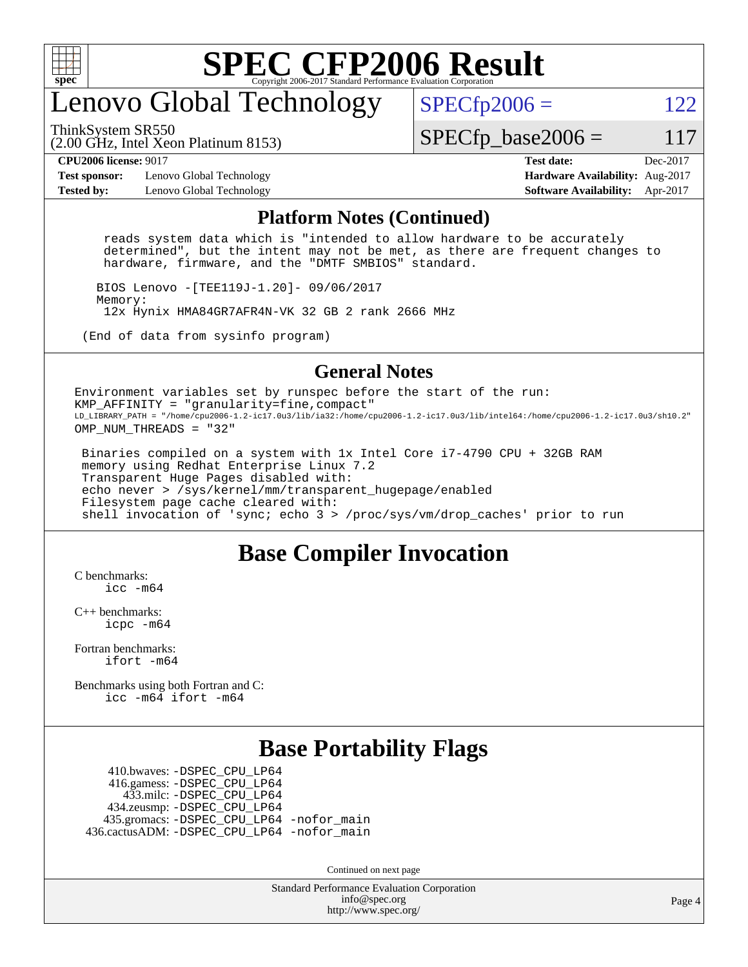

## enovo Global Technology

ThinkSystem SR550

 $SPECTp2006 = 122$ 

(2.00 GHz, Intel Xeon Platinum 8153)

 $SPECTp\_base2006 = 117$ 

**[Test sponsor:](http://www.spec.org/auto/cpu2006/Docs/result-fields.html#Testsponsor)** Lenovo Global Technology **[Hardware Availability:](http://www.spec.org/auto/cpu2006/Docs/result-fields.html#HardwareAvailability)** Aug-2017 **[Tested by:](http://www.spec.org/auto/cpu2006/Docs/result-fields.html#Testedby)** Lenovo Global Technology **[Software Availability:](http://www.spec.org/auto/cpu2006/Docs/result-fields.html#SoftwareAvailability)** Apr-2017

**[CPU2006 license:](http://www.spec.org/auto/cpu2006/Docs/result-fields.html#CPU2006license)** 9017 **[Test date:](http://www.spec.org/auto/cpu2006/Docs/result-fields.html#Testdate)** Dec-2017

#### **[Platform Notes \(Continued\)](http://www.spec.org/auto/cpu2006/Docs/result-fields.html#PlatformNotes)**

 reads system data which is "intended to allow hardware to be accurately determined", but the intent may not be met, as there are frequent changes to hardware, firmware, and the "DMTF SMBIOS" standard.

 BIOS Lenovo -[TEE119J-1.20]- 09/06/2017 Memory: 12x Hynix HMA84GR7AFR4N-VK 32 GB 2 rank 2666 MHz

(End of data from sysinfo program)

#### **[General Notes](http://www.spec.org/auto/cpu2006/Docs/result-fields.html#GeneralNotes)**

Environment variables set by runspec before the start of the run: KMP AFFINITY = "granularity=fine, compact" LD\_LIBRARY\_PATH = "/home/cpu2006-1.2-ic17.0u3/lib/ia32:/home/cpu2006-1.2-ic17.0u3/lib/intel64:/home/cpu2006-1.2-ic17.0u3/sh10.2" OMP NUM THREADS = "32"

 Binaries compiled on a system with 1x Intel Core i7-4790 CPU + 32GB RAM memory using Redhat Enterprise Linux 7.2 Transparent Huge Pages disabled with: echo never > /sys/kernel/mm/transparent\_hugepage/enabled Filesystem page cache cleared with: shell invocation of 'sync; echo 3 > /proc/sys/vm/drop\_caches' prior to run

#### **[Base Compiler Invocation](http://www.spec.org/auto/cpu2006/Docs/result-fields.html#BaseCompilerInvocation)**

[C benchmarks](http://www.spec.org/auto/cpu2006/Docs/result-fields.html#Cbenchmarks):  $inc - m64$ 

[C++ benchmarks:](http://www.spec.org/auto/cpu2006/Docs/result-fields.html#CXXbenchmarks) [icpc -m64](http://www.spec.org/cpu2006/results/res2017q4/cpu2006-20171211-51077.flags.html#user_CXXbase_intel_icpc_64bit_fc66a5337ce925472a5c54ad6a0de310)

[Fortran benchmarks](http://www.spec.org/auto/cpu2006/Docs/result-fields.html#Fortranbenchmarks): [ifort -m64](http://www.spec.org/cpu2006/results/res2017q4/cpu2006-20171211-51077.flags.html#user_FCbase_intel_ifort_64bit_ee9d0fb25645d0210d97eb0527dcc06e)

[Benchmarks using both Fortran and C](http://www.spec.org/auto/cpu2006/Docs/result-fields.html#BenchmarksusingbothFortranandC): [icc -m64](http://www.spec.org/cpu2006/results/res2017q4/cpu2006-20171211-51077.flags.html#user_CC_FCbase_intel_icc_64bit_bda6cc9af1fdbb0edc3795bac97ada53) [ifort -m64](http://www.spec.org/cpu2006/results/res2017q4/cpu2006-20171211-51077.flags.html#user_CC_FCbase_intel_ifort_64bit_ee9d0fb25645d0210d97eb0527dcc06e)

#### **[Base Portability Flags](http://www.spec.org/auto/cpu2006/Docs/result-fields.html#BasePortabilityFlags)**

 410.bwaves: [-DSPEC\\_CPU\\_LP64](http://www.spec.org/cpu2006/results/res2017q4/cpu2006-20171211-51077.flags.html#suite_basePORTABILITY410_bwaves_DSPEC_CPU_LP64) 416.gamess: [-DSPEC\\_CPU\\_LP64](http://www.spec.org/cpu2006/results/res2017q4/cpu2006-20171211-51077.flags.html#suite_basePORTABILITY416_gamess_DSPEC_CPU_LP64) 433.milc: [-DSPEC\\_CPU\\_LP64](http://www.spec.org/cpu2006/results/res2017q4/cpu2006-20171211-51077.flags.html#suite_basePORTABILITY433_milc_DSPEC_CPU_LP64) 434.zeusmp: [-DSPEC\\_CPU\\_LP64](http://www.spec.org/cpu2006/results/res2017q4/cpu2006-20171211-51077.flags.html#suite_basePORTABILITY434_zeusmp_DSPEC_CPU_LP64) 435.gromacs: [-DSPEC\\_CPU\\_LP64](http://www.spec.org/cpu2006/results/res2017q4/cpu2006-20171211-51077.flags.html#suite_basePORTABILITY435_gromacs_DSPEC_CPU_LP64) [-nofor\\_main](http://www.spec.org/cpu2006/results/res2017q4/cpu2006-20171211-51077.flags.html#user_baseLDPORTABILITY435_gromacs_f-nofor_main) 436.cactusADM: [-DSPEC\\_CPU\\_LP64](http://www.spec.org/cpu2006/results/res2017q4/cpu2006-20171211-51077.flags.html#suite_basePORTABILITY436_cactusADM_DSPEC_CPU_LP64) [-nofor\\_main](http://www.spec.org/cpu2006/results/res2017q4/cpu2006-20171211-51077.flags.html#user_baseLDPORTABILITY436_cactusADM_f-nofor_main)

Continued on next page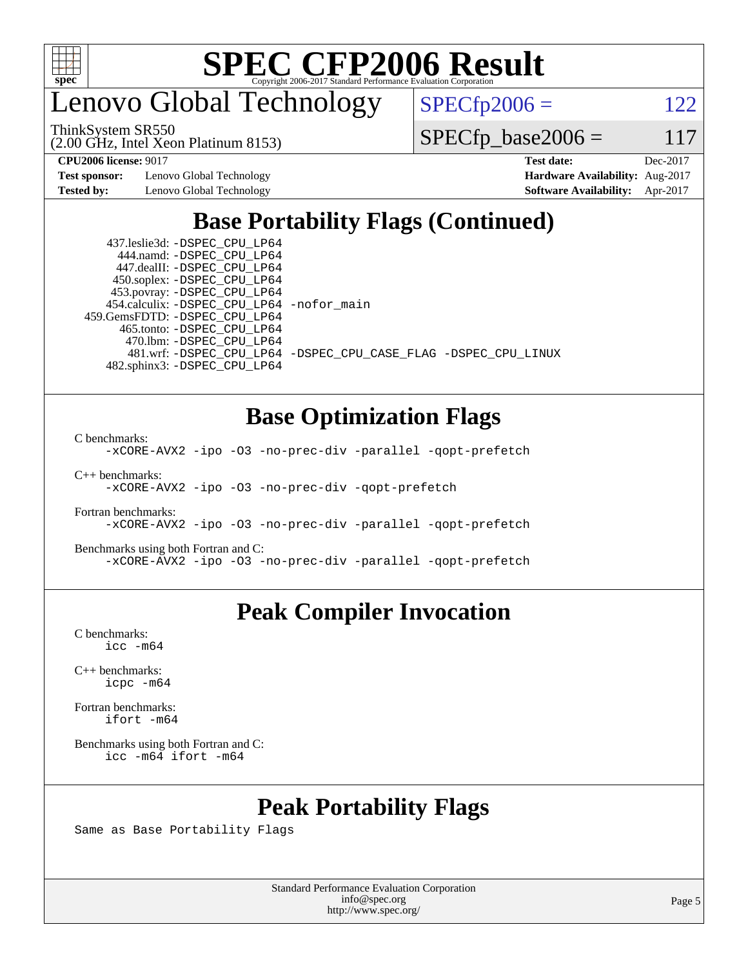

enovo Global Technology

ThinkSystem SR550

(2.00 GHz, Intel Xeon Platinum 8153)

 $SPECfp2006 = 122$  $SPECfp2006 = 122$ 

 $SPECfp\_base2006 = 117$ 

**[Test sponsor:](http://www.spec.org/auto/cpu2006/Docs/result-fields.html#Testsponsor)** Lenovo Global Technology **[Hardware Availability:](http://www.spec.org/auto/cpu2006/Docs/result-fields.html#HardwareAvailability)** Aug-2017

**[CPU2006 license:](http://www.spec.org/auto/cpu2006/Docs/result-fields.html#CPU2006license)** 9017 **[Test date:](http://www.spec.org/auto/cpu2006/Docs/result-fields.html#Testdate)** Dec-2017 **[Tested by:](http://www.spec.org/auto/cpu2006/Docs/result-fields.html#Testedby)** Lenovo Global Technology **[Software Availability:](http://www.spec.org/auto/cpu2006/Docs/result-fields.html#SoftwareAvailability)** Apr-2017

### **[Base Portability Flags \(Continued\)](http://www.spec.org/auto/cpu2006/Docs/result-fields.html#BasePortabilityFlags)**

 437.leslie3d: [-DSPEC\\_CPU\\_LP64](http://www.spec.org/cpu2006/results/res2017q4/cpu2006-20171211-51077.flags.html#suite_basePORTABILITY437_leslie3d_DSPEC_CPU_LP64) 444.namd: [-DSPEC\\_CPU\\_LP64](http://www.spec.org/cpu2006/results/res2017q4/cpu2006-20171211-51077.flags.html#suite_basePORTABILITY444_namd_DSPEC_CPU_LP64) 447.dealII: [-DSPEC\\_CPU\\_LP64](http://www.spec.org/cpu2006/results/res2017q4/cpu2006-20171211-51077.flags.html#suite_basePORTABILITY447_dealII_DSPEC_CPU_LP64) 450.soplex: [-DSPEC\\_CPU\\_LP64](http://www.spec.org/cpu2006/results/res2017q4/cpu2006-20171211-51077.flags.html#suite_basePORTABILITY450_soplex_DSPEC_CPU_LP64) 453.povray: [-DSPEC\\_CPU\\_LP64](http://www.spec.org/cpu2006/results/res2017q4/cpu2006-20171211-51077.flags.html#suite_basePORTABILITY453_povray_DSPEC_CPU_LP64) 454.calculix: [-DSPEC\\_CPU\\_LP64](http://www.spec.org/cpu2006/results/res2017q4/cpu2006-20171211-51077.flags.html#suite_basePORTABILITY454_calculix_DSPEC_CPU_LP64) [-nofor\\_main](http://www.spec.org/cpu2006/results/res2017q4/cpu2006-20171211-51077.flags.html#user_baseLDPORTABILITY454_calculix_f-nofor_main) 459.GemsFDTD: [-DSPEC\\_CPU\\_LP64](http://www.spec.org/cpu2006/results/res2017q4/cpu2006-20171211-51077.flags.html#suite_basePORTABILITY459_GemsFDTD_DSPEC_CPU_LP64) 465.tonto: [-DSPEC\\_CPU\\_LP64](http://www.spec.org/cpu2006/results/res2017q4/cpu2006-20171211-51077.flags.html#suite_basePORTABILITY465_tonto_DSPEC_CPU_LP64) 470.lbm: [-DSPEC\\_CPU\\_LP64](http://www.spec.org/cpu2006/results/res2017q4/cpu2006-20171211-51077.flags.html#suite_basePORTABILITY470_lbm_DSPEC_CPU_LP64) 482.sphinx3: [-DSPEC\\_CPU\\_LP64](http://www.spec.org/cpu2006/results/res2017q4/cpu2006-20171211-51077.flags.html#suite_basePORTABILITY482_sphinx3_DSPEC_CPU_LP64)

481.wrf: [-DSPEC\\_CPU\\_LP64](http://www.spec.org/cpu2006/results/res2017q4/cpu2006-20171211-51077.flags.html#suite_basePORTABILITY481_wrf_DSPEC_CPU_LP64) [-DSPEC\\_CPU\\_CASE\\_FLAG](http://www.spec.org/cpu2006/results/res2017q4/cpu2006-20171211-51077.flags.html#b481.wrf_baseCPORTABILITY_DSPEC_CPU_CASE_FLAG) [-DSPEC\\_CPU\\_LINUX](http://www.spec.org/cpu2006/results/res2017q4/cpu2006-20171211-51077.flags.html#b481.wrf_baseCPORTABILITY_DSPEC_CPU_LINUX)

### **[Base Optimization Flags](http://www.spec.org/auto/cpu2006/Docs/result-fields.html#BaseOptimizationFlags)**

[C benchmarks](http://www.spec.org/auto/cpu2006/Docs/result-fields.html#Cbenchmarks):

[-xCORE-AVX2](http://www.spec.org/cpu2006/results/res2017q4/cpu2006-20171211-51077.flags.html#user_CCbase_f-xCORE-AVX2) [-ipo](http://www.spec.org/cpu2006/results/res2017q4/cpu2006-20171211-51077.flags.html#user_CCbase_f-ipo) [-O3](http://www.spec.org/cpu2006/results/res2017q4/cpu2006-20171211-51077.flags.html#user_CCbase_f-O3) [-no-prec-div](http://www.spec.org/cpu2006/results/res2017q4/cpu2006-20171211-51077.flags.html#user_CCbase_f-no-prec-div) [-parallel](http://www.spec.org/cpu2006/results/res2017q4/cpu2006-20171211-51077.flags.html#user_CCbase_f-parallel) [-qopt-prefetch](http://www.spec.org/cpu2006/results/res2017q4/cpu2006-20171211-51077.flags.html#user_CCbase_f-qopt-prefetch)

[C++ benchmarks:](http://www.spec.org/auto/cpu2006/Docs/result-fields.html#CXXbenchmarks)

[-xCORE-AVX2](http://www.spec.org/cpu2006/results/res2017q4/cpu2006-20171211-51077.flags.html#user_CXXbase_f-xCORE-AVX2) [-ipo](http://www.spec.org/cpu2006/results/res2017q4/cpu2006-20171211-51077.flags.html#user_CXXbase_f-ipo) [-O3](http://www.spec.org/cpu2006/results/res2017q4/cpu2006-20171211-51077.flags.html#user_CXXbase_f-O3) [-no-prec-div](http://www.spec.org/cpu2006/results/res2017q4/cpu2006-20171211-51077.flags.html#user_CXXbase_f-no-prec-div) [-qopt-prefetch](http://www.spec.org/cpu2006/results/res2017q4/cpu2006-20171211-51077.flags.html#user_CXXbase_f-qopt-prefetch)

[Fortran benchmarks](http://www.spec.org/auto/cpu2006/Docs/result-fields.html#Fortranbenchmarks): [-xCORE-AVX2](http://www.spec.org/cpu2006/results/res2017q4/cpu2006-20171211-51077.flags.html#user_FCbase_f-xCORE-AVX2) [-ipo](http://www.spec.org/cpu2006/results/res2017q4/cpu2006-20171211-51077.flags.html#user_FCbase_f-ipo) [-O3](http://www.spec.org/cpu2006/results/res2017q4/cpu2006-20171211-51077.flags.html#user_FCbase_f-O3) [-no-prec-div](http://www.spec.org/cpu2006/results/res2017q4/cpu2006-20171211-51077.flags.html#user_FCbase_f-no-prec-div) [-parallel](http://www.spec.org/cpu2006/results/res2017q4/cpu2006-20171211-51077.flags.html#user_FCbase_f-parallel) [-qopt-prefetch](http://www.spec.org/cpu2006/results/res2017q4/cpu2006-20171211-51077.flags.html#user_FCbase_f-qopt-prefetch)

[Benchmarks using both Fortran and C](http://www.spec.org/auto/cpu2006/Docs/result-fields.html#BenchmarksusingbothFortranandC): [-xCORE-AVX2](http://www.spec.org/cpu2006/results/res2017q4/cpu2006-20171211-51077.flags.html#user_CC_FCbase_f-xCORE-AVX2) [-ipo](http://www.spec.org/cpu2006/results/res2017q4/cpu2006-20171211-51077.flags.html#user_CC_FCbase_f-ipo) [-O3](http://www.spec.org/cpu2006/results/res2017q4/cpu2006-20171211-51077.flags.html#user_CC_FCbase_f-O3) [-no-prec-div](http://www.spec.org/cpu2006/results/res2017q4/cpu2006-20171211-51077.flags.html#user_CC_FCbase_f-no-prec-div) [-parallel](http://www.spec.org/cpu2006/results/res2017q4/cpu2006-20171211-51077.flags.html#user_CC_FCbase_f-parallel) [-qopt-prefetch](http://www.spec.org/cpu2006/results/res2017q4/cpu2006-20171211-51077.flags.html#user_CC_FCbase_f-qopt-prefetch)

### **[Peak Compiler Invocation](http://www.spec.org/auto/cpu2006/Docs/result-fields.html#PeakCompilerInvocation)**

[C benchmarks](http://www.spec.org/auto/cpu2006/Docs/result-fields.html#Cbenchmarks): [icc -m64](http://www.spec.org/cpu2006/results/res2017q4/cpu2006-20171211-51077.flags.html#user_CCpeak_intel_icc_64bit_bda6cc9af1fdbb0edc3795bac97ada53)

[C++ benchmarks:](http://www.spec.org/auto/cpu2006/Docs/result-fields.html#CXXbenchmarks) [icpc -m64](http://www.spec.org/cpu2006/results/res2017q4/cpu2006-20171211-51077.flags.html#user_CXXpeak_intel_icpc_64bit_fc66a5337ce925472a5c54ad6a0de310)

[Fortran benchmarks](http://www.spec.org/auto/cpu2006/Docs/result-fields.html#Fortranbenchmarks): [ifort -m64](http://www.spec.org/cpu2006/results/res2017q4/cpu2006-20171211-51077.flags.html#user_FCpeak_intel_ifort_64bit_ee9d0fb25645d0210d97eb0527dcc06e)

[Benchmarks using both Fortran and C](http://www.spec.org/auto/cpu2006/Docs/result-fields.html#BenchmarksusingbothFortranandC): [icc -m64](http://www.spec.org/cpu2006/results/res2017q4/cpu2006-20171211-51077.flags.html#user_CC_FCpeak_intel_icc_64bit_bda6cc9af1fdbb0edc3795bac97ada53) [ifort -m64](http://www.spec.org/cpu2006/results/res2017q4/cpu2006-20171211-51077.flags.html#user_CC_FCpeak_intel_ifort_64bit_ee9d0fb25645d0210d97eb0527dcc06e)

#### **[Peak Portability Flags](http://www.spec.org/auto/cpu2006/Docs/result-fields.html#PeakPortabilityFlags)**

Same as Base Portability Flags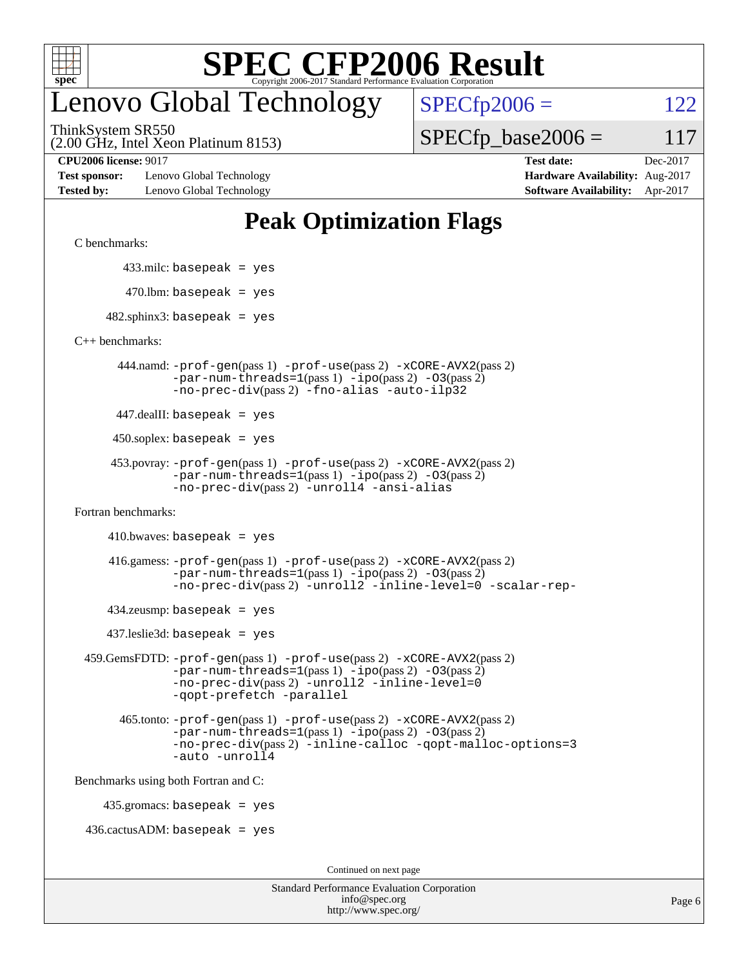

## enovo Global Technology

ThinkSystem SR550

 $SPECTp2006 = 122$ 

 $SPECTp\_base2006 = 117$ 

(2.00 GHz, Intel Xeon Platinum 8153)

**[Test sponsor:](http://www.spec.org/auto/cpu2006/Docs/result-fields.html#Testsponsor)** Lenovo Global Technology **[Hardware Availability:](http://www.spec.org/auto/cpu2006/Docs/result-fields.html#HardwareAvailability)** Aug-2017 **[Tested by:](http://www.spec.org/auto/cpu2006/Docs/result-fields.html#Testedby)** Lenovo Global Technology **[Software Availability:](http://www.spec.org/auto/cpu2006/Docs/result-fields.html#SoftwareAvailability)** Apr-2017

**[CPU2006 license:](http://www.spec.org/auto/cpu2006/Docs/result-fields.html#CPU2006license)** 9017 **[Test date:](http://www.spec.org/auto/cpu2006/Docs/result-fields.html#Testdate)** Dec-2017

### **[Peak Optimization Flags](http://www.spec.org/auto/cpu2006/Docs/result-fields.html#PeakOptimizationFlags)**

[C benchmarks](http://www.spec.org/auto/cpu2006/Docs/result-fields.html#Cbenchmarks):

433.milc: basepeak = yes

 $470.$ lbm: basepeak = yes

 $482$ .sphinx3: basepeak = yes

[C++ benchmarks:](http://www.spec.org/auto/cpu2006/Docs/result-fields.html#CXXbenchmarks)

 444.namd: [-prof-gen](http://www.spec.org/cpu2006/results/res2017q4/cpu2006-20171211-51077.flags.html#user_peakPASS1_CXXFLAGSPASS1_LDFLAGS444_namd_prof_gen_e43856698f6ca7b7e442dfd80e94a8fc)(pass 1) [-prof-use](http://www.spec.org/cpu2006/results/res2017q4/cpu2006-20171211-51077.flags.html#user_peakPASS2_CXXFLAGSPASS2_LDFLAGS444_namd_prof_use_bccf7792157ff70d64e32fe3e1250b55)(pass 2) [-xCORE-AVX2](http://www.spec.org/cpu2006/results/res2017q4/cpu2006-20171211-51077.flags.html#user_peakPASS2_CXXFLAGSPASS2_LDFLAGS444_namd_f-xCORE-AVX2)(pass 2)  $-par-num-threads=1(pass 1) -ipo(pass 2) -O3(pass 2)$  $-par-num-threads=1(pass 1) -ipo(pass 2) -O3(pass 2)$  $-par-num-threads=1(pass 1) -ipo(pass 2) -O3(pass 2)$  $-par-num-threads=1(pass 1) -ipo(pass 2) -O3(pass 2)$  $-par-num-threads=1(pass 1) -ipo(pass 2) -O3(pass 2)$  $-par-num-threads=1(pass 1) -ipo(pass 2) -O3(pass 2)$ [-no-prec-div](http://www.spec.org/cpu2006/results/res2017q4/cpu2006-20171211-51077.flags.html#user_peakPASS2_CXXFLAGSPASS2_LDFLAGS444_namd_f-no-prec-div)(pass 2) [-fno-alias](http://www.spec.org/cpu2006/results/res2017q4/cpu2006-20171211-51077.flags.html#user_peakCXXOPTIMIZEOPTIMIZE444_namd_f-no-alias_694e77f6c5a51e658e82ccff53a9e63a) [-auto-ilp32](http://www.spec.org/cpu2006/results/res2017q4/cpu2006-20171211-51077.flags.html#user_peakCXXOPTIMIZE444_namd_f-auto-ilp32)

447.dealII: basepeak = yes

 $450$ .soplex: basepeak = yes

```
 453.povray: -prof-gen(pass 1) -prof-use(pass 2) -xCORE-AVX2(pass 2)
  -par-num-threads=1-ipo-O3(pass 2)-no-prec-div(pass 2) -unroll4 -ansi-alias
```
[Fortran benchmarks](http://www.spec.org/auto/cpu2006/Docs/result-fields.html#Fortranbenchmarks):

```
410.bwaves: basepeak = yes
```

```
 416.gamess: -prof-gen(pass 1) -prof-use(pass 2) -xCORE-AVX2(pass 2)
  -par-num-threads=1-ipo-O3(pass 2)-no-prec-div(pass 2) -unroll2 -inline-level=0 -scalar-rep-
```
 $434$ .zeusmp: basepeak = yes

437.leslie3d: basepeak = yes

```
 459.GemsFDTD: -prof-gen(pass 1) -prof-use(pass 2) -xCORE-AVX2(pass 2)
     -par-num-threads=1-ipo-O3(pass 2)-no-prec-div(pass 2) -unroll2 -inline-level=0
     -qopt-prefetch -parallel
```

```
 465.tonto: -prof-gen(pass 1) -prof-use(pass 2) -xCORE-AVX2(pass 2)
-par-num-threads=1-ipo-O3(pass 2)-no-prec-div-inline-calloc-qopt-malloc-options=3
-auto -unroll4
```
[Benchmarks using both Fortran and C](http://www.spec.org/auto/cpu2006/Docs/result-fields.html#BenchmarksusingbothFortranandC):

435.gromacs: basepeak = yes

 $436.cactusADM:basepeak = yes$ 

Continued on next page

| <b>Standard Performance Evaluation Corporation</b> |
|----------------------------------------------------|
| info@spec.org                                      |
| http://www.spec.org/                               |